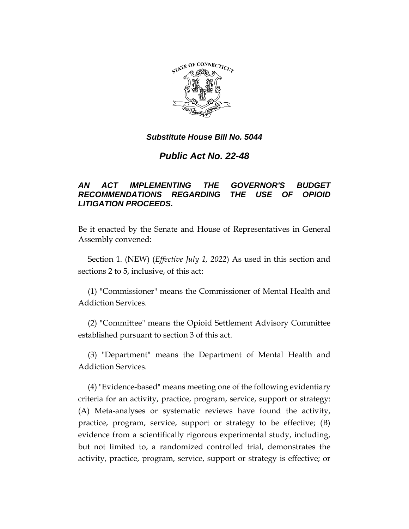

# *Public Act No. 22-48*

## *AN ACT IMPLEMENTING THE GOVERNOR'S BUDGET RECOMMENDATIONS REGARDING THE USE OF OPIOID LITIGATION PROCEEDS.*

Be it enacted by the Senate and House of Representatives in General Assembly convened:

Section 1. (NEW) (*Effective July 1, 2022*) As used in this section and sections 2 to 5, inclusive, of this act:

(1) "Commissioner" means the Commissioner of Mental Health and Addiction Services.

(2) "Committee" means the Opioid Settlement Advisory Committee established pursuant to section 3 of this act.

(3) "Department" means the Department of Mental Health and Addiction Services.

(4) "Evidence-based" means meeting one of the following evidentiary criteria for an activity, practice, program, service, support or strategy: (A) Meta-analyses or systematic reviews have found the activity, practice, program, service, support or strategy to be effective; (B) evidence from a scientifically rigorous experimental study, including, but not limited to, a randomized controlled trial, demonstrates the activity, practice, program, service, support or strategy is effective; or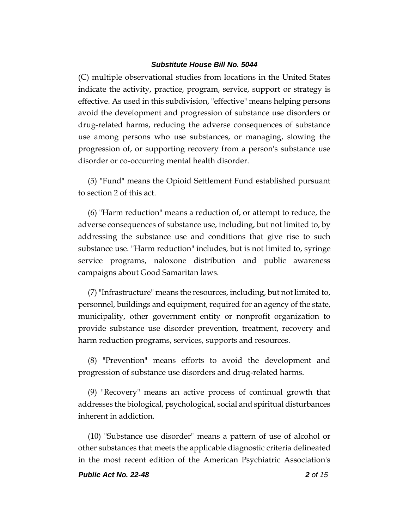(C) multiple observational studies from locations in the United States indicate the activity, practice, program, service, support or strategy is effective. As used in this subdivision, "effective" means helping persons avoid the development and progression of substance use disorders or drug-related harms, reducing the adverse consequences of substance use among persons who use substances, or managing, slowing the progression of, or supporting recovery from a person's substance use disorder or co-occurring mental health disorder.

(5) "Fund" means the Opioid Settlement Fund established pursuant to section 2 of this act.

(6) "Harm reduction" means a reduction of, or attempt to reduce, the adverse consequences of substance use, including, but not limited to, by addressing the substance use and conditions that give rise to such substance use. "Harm reduction" includes, but is not limited to, syringe service programs, naloxone distribution and public awareness campaigns about Good Samaritan laws.

(7) "Infrastructure" means the resources, including, but not limited to, personnel, buildings and equipment, required for an agency of the state, municipality, other government entity or nonprofit organization to provide substance use disorder prevention, treatment, recovery and harm reduction programs, services, supports and resources.

(8) "Prevention" means efforts to avoid the development and progression of substance use disorders and drug-related harms.

(9) "Recovery" means an active process of continual growth that addresses the biological, psychological, social and spiritual disturbances inherent in addiction.

(10) "Substance use disorder" means a pattern of use of alcohol or other substances that meets the applicable diagnostic criteria delineated in the most recent edition of the American Psychiatric Association's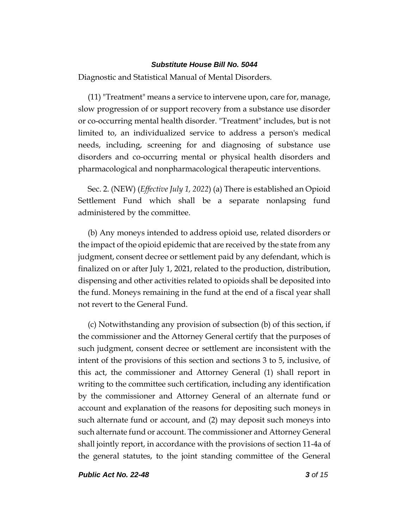Diagnostic and Statistical Manual of Mental Disorders.

(11) "Treatment" means a service to intervene upon, care for, manage, slow progression of or support recovery from a substance use disorder or co-occurring mental health disorder. "Treatment" includes, but is not limited to, an individualized service to address a person's medical needs, including, screening for and diagnosing of substance use disorders and co-occurring mental or physical health disorders and pharmacological and nonpharmacological therapeutic interventions.

Sec. 2. (NEW) (*Effective July 1, 2022*) (a) There is established an Opioid Settlement Fund which shall be a separate nonlapsing fund administered by the committee.

(b) Any moneys intended to address opioid use, related disorders or the impact of the opioid epidemic that are received by the state from any judgment, consent decree or settlement paid by any defendant, which is finalized on or after July 1, 2021, related to the production, distribution, dispensing and other activities related to opioids shall be deposited into the fund. Moneys remaining in the fund at the end of a fiscal year shall not revert to the General Fund.

(c) Notwithstanding any provision of subsection (b) of this section, if the commissioner and the Attorney General certify that the purposes of such judgment, consent decree or settlement are inconsistent with the intent of the provisions of this section and sections 3 to 5, inclusive, of this act, the commissioner and Attorney General (1) shall report in writing to the committee such certification, including any identification by the commissioner and Attorney General of an alternate fund or account and explanation of the reasons for depositing such moneys in such alternate fund or account, and (2) may deposit such moneys into such alternate fund or account. The commissioner and Attorney General shall jointly report, in accordance with the provisions of section 11-4a of the general statutes, to the joint standing committee of the General

*Public Act No. 22-48 3 of 15*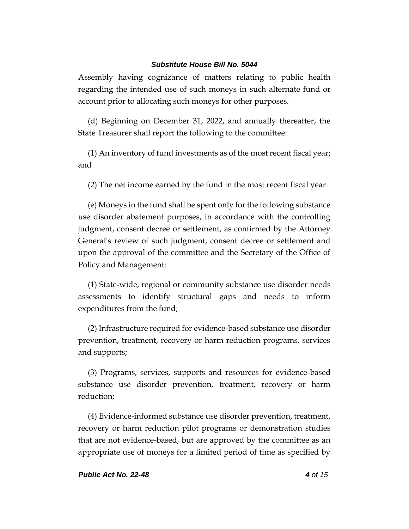Assembly having cognizance of matters relating to public health regarding the intended use of such moneys in such alternate fund or account prior to allocating such moneys for other purposes.

(d) Beginning on December 31, 2022, and annually thereafter, the State Treasurer shall report the following to the committee:

(1) An inventory of fund investments as of the most recent fiscal year; and

(2) The net income earned by the fund in the most recent fiscal year.

(e) Moneys in the fund shall be spent only for the following substance use disorder abatement purposes, in accordance with the controlling judgment, consent decree or settlement, as confirmed by the Attorney General's review of such judgment, consent decree or settlement and upon the approval of the committee and the Secretary of the Office of Policy and Management:

(1) State-wide, regional or community substance use disorder needs assessments to identify structural gaps and needs to inform expenditures from the fund;

(2) Infrastructure required for evidence-based substance use disorder prevention, treatment, recovery or harm reduction programs, services and supports;

(3) Programs, services, supports and resources for evidence-based substance use disorder prevention, treatment, recovery or harm reduction;

(4) Evidence-informed substance use disorder prevention, treatment, recovery or harm reduction pilot programs or demonstration studies that are not evidence-based, but are approved by the committee as an appropriate use of moneys for a limited period of time as specified by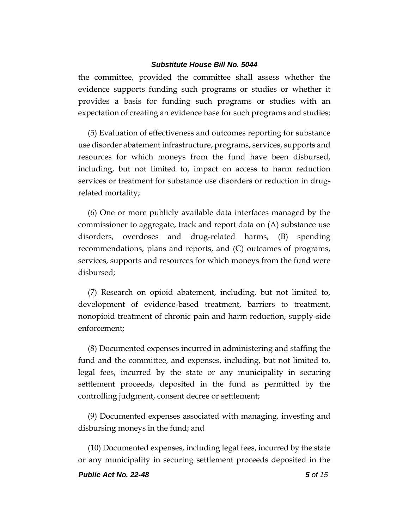the committee, provided the committee shall assess whether the evidence supports funding such programs or studies or whether it provides a basis for funding such programs or studies with an expectation of creating an evidence base for such programs and studies;

(5) Evaluation of effectiveness and outcomes reporting for substance use disorder abatement infrastructure, programs, services, supports and resources for which moneys from the fund have been disbursed, including, but not limited to, impact on access to harm reduction services or treatment for substance use disorders or reduction in drugrelated mortality;

(6) One or more publicly available data interfaces managed by the commissioner to aggregate, track and report data on (A) substance use disorders, overdoses and drug-related harms, (B) spending recommendations, plans and reports, and (C) outcomes of programs, services, supports and resources for which moneys from the fund were disbursed;

(7) Research on opioid abatement, including, but not limited to, development of evidence-based treatment, barriers to treatment, nonopioid treatment of chronic pain and harm reduction, supply-side enforcement;

(8) Documented expenses incurred in administering and staffing the fund and the committee, and expenses, including, but not limited to, legal fees, incurred by the state or any municipality in securing settlement proceeds, deposited in the fund as permitted by the controlling judgment, consent decree or settlement;

(9) Documented expenses associated with managing, investing and disbursing moneys in the fund; and

(10) Documented expenses, including legal fees, incurred by the state or any municipality in securing settlement proceeds deposited in the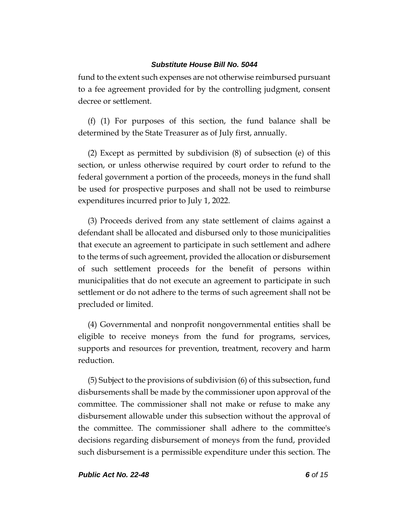fund to the extent such expenses are not otherwise reimbursed pursuant to a fee agreement provided for by the controlling judgment, consent decree or settlement.

(f) (1) For purposes of this section, the fund balance shall be determined by the State Treasurer as of July first, annually.

(2) Except as permitted by subdivision (8) of subsection (e) of this section, or unless otherwise required by court order to refund to the federal government a portion of the proceeds, moneys in the fund shall be used for prospective purposes and shall not be used to reimburse expenditures incurred prior to July 1, 2022.

(3) Proceeds derived from any state settlement of claims against a defendant shall be allocated and disbursed only to those municipalities that execute an agreement to participate in such settlement and adhere to the terms of such agreement, provided the allocation or disbursement of such settlement proceeds for the benefit of persons within municipalities that do not execute an agreement to participate in such settlement or do not adhere to the terms of such agreement shall not be precluded or limited.

(4) Governmental and nonprofit nongovernmental entities shall be eligible to receive moneys from the fund for programs, services, supports and resources for prevention, treatment, recovery and harm reduction.

(5) Subject to the provisions of subdivision (6) of this subsection, fund disbursements shall be made by the commissioner upon approval of the committee. The commissioner shall not make or refuse to make any disbursement allowable under this subsection without the approval of the committee. The commissioner shall adhere to the committee's decisions regarding disbursement of moneys from the fund, provided such disbursement is a permissible expenditure under this section. The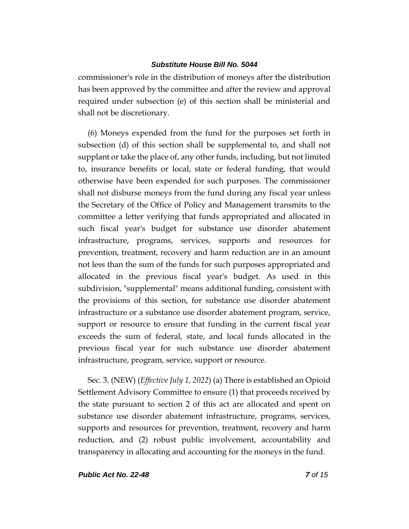commissioner's role in the distribution of moneys after the distribution has been approved by the committee and after the review and approval required under subsection (e) of this section shall be ministerial and shall not be discretionary.

(6) Moneys expended from the fund for the purposes set forth in subsection (d) of this section shall be supplemental to, and shall not supplant or take the place of, any other funds, including, but not limited to, insurance benefits or local, state or federal funding, that would otherwise have been expended for such purposes. The commissioner shall not disburse moneys from the fund during any fiscal year unless the Secretary of the Office of Policy and Management transmits to the committee a letter verifying that funds appropriated and allocated in such fiscal year's budget for substance use disorder abatement infrastructure, programs, services, supports and resources for prevention, treatment, recovery and harm reduction are in an amount not less than the sum of the funds for such purposes appropriated and allocated in the previous fiscal year's budget. As used in this subdivision, "supplemental" means additional funding, consistent with the provisions of this section, for substance use disorder abatement infrastructure or a substance use disorder abatement program, service, support or resource to ensure that funding in the current fiscal year exceeds the sum of federal, state, and local funds allocated in the previous fiscal year for such substance use disorder abatement infrastructure, program, service, support or resource.

Sec. 3. (NEW) (*Effective July 1, 2022*) (a) There is established an Opioid Settlement Advisory Committee to ensure (1) that proceeds received by the state pursuant to section 2 of this act are allocated and spent on substance use disorder abatement infrastructure, programs, services, supports and resources for prevention, treatment, recovery and harm reduction, and (2) robust public involvement, accountability and transparency in allocating and accounting for the moneys in the fund.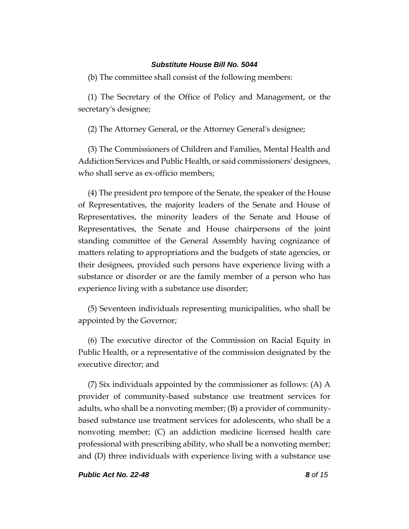(b) The committee shall consist of the following members:

(1) The Secretary of the Office of Policy and Management, or the secretary's designee;

(2) The Attorney General, or the Attorney General's designee;

(3) The Commissioners of Children and Families, Mental Health and Addiction Services and Public Health, or said commissioners' designees, who shall serve as ex-officio members;

(4) The president pro tempore of the Senate, the speaker of the House of Representatives, the majority leaders of the Senate and House of Representatives, the minority leaders of the Senate and House of Representatives, the Senate and House chairpersons of the joint standing committee of the General Assembly having cognizance of matters relating to appropriations and the budgets of state agencies, or their designees, provided such persons have experience living with a substance or disorder or are the family member of a person who has experience living with a substance use disorder;

(5) Seventeen individuals representing municipalities, who shall be appointed by the Governor;

(6) The executive director of the Commission on Racial Equity in Public Health, or a representative of the commission designated by the executive director; and

(7) Six individuals appointed by the commissioner as follows: (A) A provider of community-based substance use treatment services for adults, who shall be a nonvoting member; (B) a provider of communitybased substance use treatment services for adolescents, who shall be a nonvoting member; (C) an addiction medicine licensed health care professional with prescribing ability, who shall be a nonvoting member; and (D) three individuals with experience living with a substance use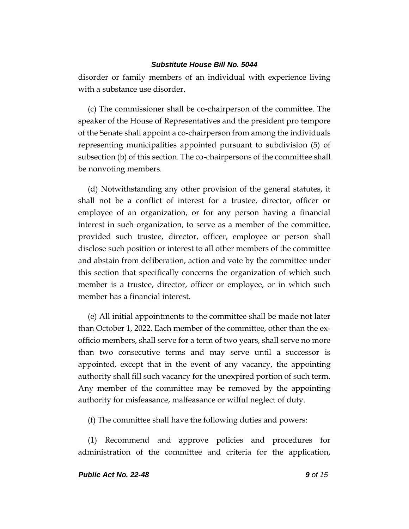disorder or family members of an individual with experience living with a substance use disorder.

(c) The commissioner shall be co-chairperson of the committee. The speaker of the House of Representatives and the president pro tempore of the Senate shall appoint a co-chairperson from among the individuals representing municipalities appointed pursuant to subdivision (5) of subsection (b) of this section. The co-chairpersons of the committee shall be nonvoting members.

(d) Notwithstanding any other provision of the general statutes, it shall not be a conflict of interest for a trustee, director, officer or employee of an organization, or for any person having a financial interest in such organization, to serve as a member of the committee, provided such trustee, director, officer, employee or person shall disclose such position or interest to all other members of the committee and abstain from deliberation, action and vote by the committee under this section that specifically concerns the organization of which such member is a trustee, director, officer or employee, or in which such member has a financial interest.

(e) All initial appointments to the committee shall be made not later than October 1, 2022. Each member of the committee, other than the exofficio members, shall serve for a term of two years, shall serve no more than two consecutive terms and may serve until a successor is appointed, except that in the event of any vacancy, the appointing authority shall fill such vacancy for the unexpired portion of such term. Any member of the committee may be removed by the appointing authority for misfeasance, malfeasance or wilful neglect of duty.

(f) The committee shall have the following duties and powers:

(1) Recommend and approve policies and procedures for administration of the committee and criteria for the application,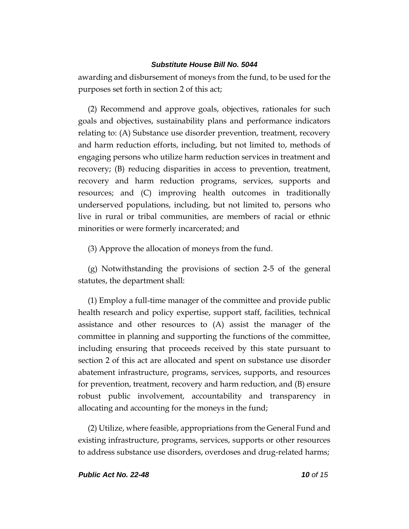awarding and disbursement of moneys from the fund, to be used for the purposes set forth in section 2 of this act;

(2) Recommend and approve goals, objectives, rationales for such goals and objectives, sustainability plans and performance indicators relating to: (A) Substance use disorder prevention, treatment, recovery and harm reduction efforts, including, but not limited to, methods of engaging persons who utilize harm reduction services in treatment and recovery; (B) reducing disparities in access to prevention, treatment, recovery and harm reduction programs, services, supports and resources; and (C) improving health outcomes in traditionally underserved populations, including, but not limited to, persons who live in rural or tribal communities, are members of racial or ethnic minorities or were formerly incarcerated; and

(3) Approve the allocation of moneys from the fund.

(g) Notwithstanding the provisions of section 2-5 of the general statutes, the department shall:

(1) Employ a full-time manager of the committee and provide public health research and policy expertise, support staff, facilities, technical assistance and other resources to (A) assist the manager of the committee in planning and supporting the functions of the committee, including ensuring that proceeds received by this state pursuant to section 2 of this act are allocated and spent on substance use disorder abatement infrastructure, programs, services, supports, and resources for prevention, treatment, recovery and harm reduction, and (B) ensure robust public involvement, accountability and transparency in allocating and accounting for the moneys in the fund;

(2) Utilize, where feasible, appropriations from the General Fund and existing infrastructure, programs, services, supports or other resources to address substance use disorders, overdoses and drug-related harms;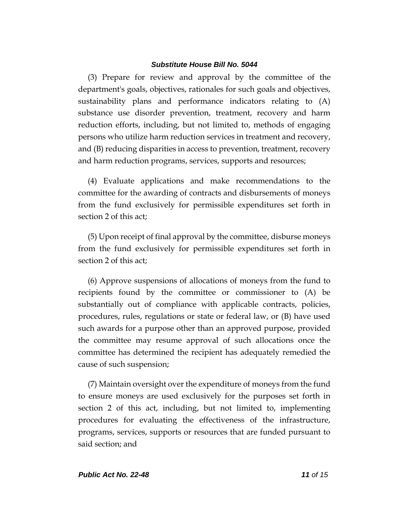(3) Prepare for review and approval by the committee of the department's goals, objectives, rationales for such goals and objectives, sustainability plans and performance indicators relating to (A) substance use disorder prevention, treatment, recovery and harm reduction efforts, including, but not limited to, methods of engaging persons who utilize harm reduction services in treatment and recovery, and (B) reducing disparities in access to prevention, treatment, recovery and harm reduction programs, services, supports and resources;

(4) Evaluate applications and make recommendations to the committee for the awarding of contracts and disbursements of moneys from the fund exclusively for permissible expenditures set forth in section 2 of this act;

(5) Upon receipt of final approval by the committee, disburse moneys from the fund exclusively for permissible expenditures set forth in section 2 of this act;

(6) Approve suspensions of allocations of moneys from the fund to recipients found by the committee or commissioner to (A) be substantially out of compliance with applicable contracts, policies, procedures, rules, regulations or state or federal law, or (B) have used such awards for a purpose other than an approved purpose, provided the committee may resume approval of such allocations once the committee has determined the recipient has adequately remedied the cause of such suspension;

(7) Maintain oversight over the expenditure of moneys from the fund to ensure moneys are used exclusively for the purposes set forth in section 2 of this act, including, but not limited to, implementing procedures for evaluating the effectiveness of the infrastructure, programs, services, supports or resources that are funded pursuant to said section; and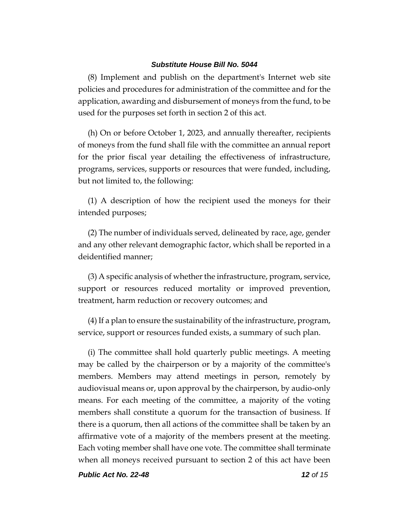(8) Implement and publish on the department's Internet web site policies and procedures for administration of the committee and for the application, awarding and disbursement of moneys from the fund, to be used for the purposes set forth in section 2 of this act.

(h) On or before October 1, 2023, and annually thereafter, recipients of moneys from the fund shall file with the committee an annual report for the prior fiscal year detailing the effectiveness of infrastructure, programs, services, supports or resources that were funded, including, but not limited to, the following:

(1) A description of how the recipient used the moneys for their intended purposes;

(2) The number of individuals served, delineated by race, age, gender and any other relevant demographic factor, which shall be reported in a deidentified manner;

(3) A specific analysis of whether the infrastructure, program, service, support or resources reduced mortality or improved prevention, treatment, harm reduction or recovery outcomes; and

(4) If a plan to ensure the sustainability of the infrastructure, program, service, support or resources funded exists, a summary of such plan.

(i) The committee shall hold quarterly public meetings. A meeting may be called by the chairperson or by a majority of the committee's members. Members may attend meetings in person, remotely by audiovisual means or, upon approval by the chairperson, by audio-only means. For each meeting of the committee, a majority of the voting members shall constitute a quorum for the transaction of business. If there is a quorum, then all actions of the committee shall be taken by an affirmative vote of a majority of the members present at the meeting. Each voting member shall have one vote. The committee shall terminate when all moneys received pursuant to section 2 of this act have been

*Public Act No. 22-48 12 of 15*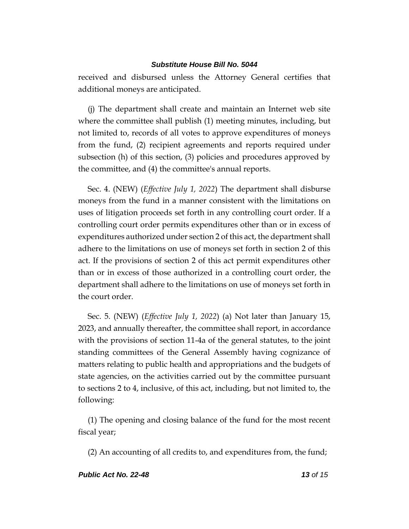received and disbursed unless the Attorney General certifies that additional moneys are anticipated.

(j) The department shall create and maintain an Internet web site where the committee shall publish (1) meeting minutes, including, but not limited to, records of all votes to approve expenditures of moneys from the fund, (2) recipient agreements and reports required under subsection (h) of this section, (3) policies and procedures approved by the committee, and (4) the committee's annual reports.

Sec. 4. (NEW) (*Effective July 1, 2022*) The department shall disburse moneys from the fund in a manner consistent with the limitations on uses of litigation proceeds set forth in any controlling court order. If a controlling court order permits expenditures other than or in excess of expenditures authorized under section 2 of this act, the department shall adhere to the limitations on use of moneys set forth in section 2 of this act. If the provisions of section 2 of this act permit expenditures other than or in excess of those authorized in a controlling court order, the department shall adhere to the limitations on use of moneys set forth in the court order.

Sec. 5. (NEW) (*Effective July 1, 2022*) (a) Not later than January 15, 2023, and annually thereafter, the committee shall report, in accordance with the provisions of section 11-4a of the general statutes, to the joint standing committees of the General Assembly having cognizance of matters relating to public health and appropriations and the budgets of state agencies, on the activities carried out by the committee pursuant to sections 2 to 4, inclusive, of this act, including, but not limited to, the following:

(1) The opening and closing balance of the fund for the most recent fiscal year;

(2) An accounting of all credits to, and expenditures from, the fund;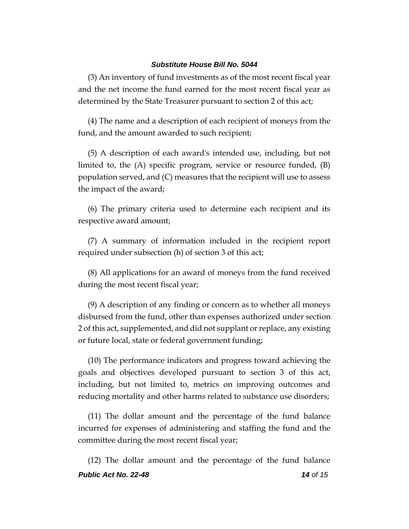(3) An inventory of fund investments as of the most recent fiscal year and the net income the fund earned for the most recent fiscal year as determined by the State Treasurer pursuant to section 2 of this act;

(4) The name and a description of each recipient of moneys from the fund, and the amount awarded to such recipient;

(5) A description of each award's intended use, including, but not limited to, the (A) specific program, service or resource funded, (B) population served, and (C) measures that the recipient will use to assess the impact of the award;

(6) The primary criteria used to determine each recipient and its respective award amount;

(7) A summary of information included in the recipient report required under subsection (h) of section 3 of this act;

(8) All applications for an award of moneys from the fund received during the most recent fiscal year;

(9) A description of any finding or concern as to whether all moneys disbursed from the fund, other than expenses authorized under section 2 of this act, supplemented, and did not supplant or replace, any existing or future local, state or federal government funding;

(10) The performance indicators and progress toward achieving the goals and objectives developed pursuant to section 3 of this act, including, but not limited to, metrics on improving outcomes and reducing mortality and other harms related to substance use disorders;

(11) The dollar amount and the percentage of the fund balance incurred for expenses of administering and staffing the fund and the committee during the most recent fiscal year;

*Public Act No. 22-48 14 of 15* (12) The dollar amount and the percentage of the fund balance